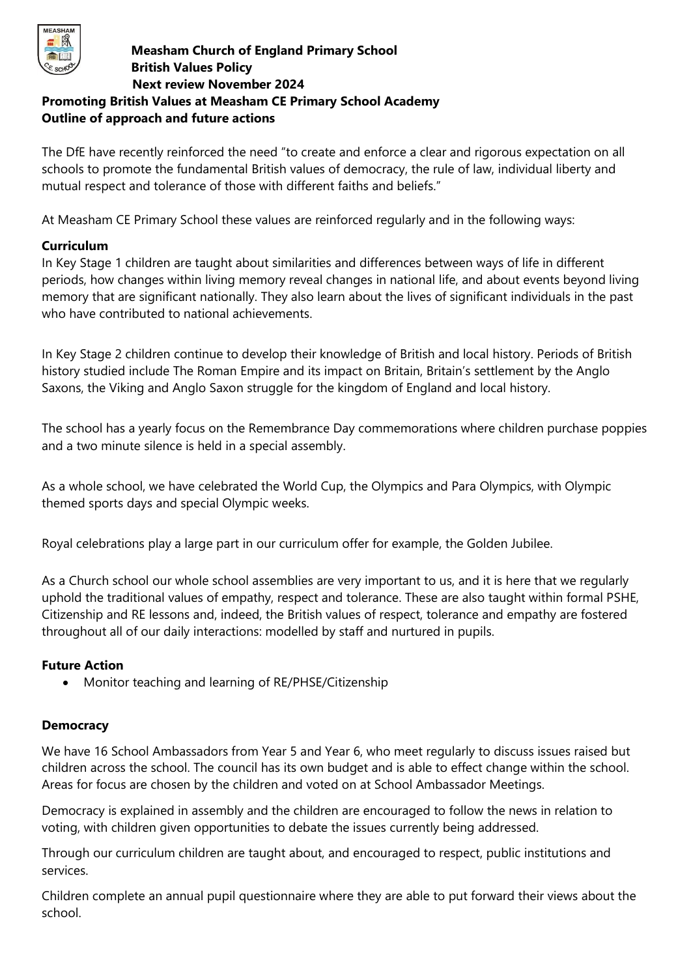

## **Measham Church of England Primary School British Values Policy Next review November 2024 Promoting British Values at Measham CE Primary School Academy**

# **Outline of approach and future actions**

The DfE have recently reinforced the need "to create and enforce a clear and rigorous expectation on all schools to promote the fundamental British values of democracy, the rule of law, individual liberty and mutual respect and tolerance of those with different faiths and beliefs."

At Measham CE Primary School these values are reinforced regularly and in the following ways:

### **Curriculum**

In Key Stage 1 children are taught about similarities and differences between ways of life in different periods, how changes within living memory reveal changes in national life, and about events beyond living memory that are significant nationally. They also learn about the lives of significant individuals in the past who have contributed to national achievements.

In Key Stage 2 children continue to develop their knowledge of British and local history. Periods of British history studied include The Roman Empire and its impact on Britain, Britain's settlement by the Anglo Saxons, the Viking and Anglo Saxon struggle for the kingdom of England and local history.

The school has a yearly focus on the Remembrance Day commemorations where children purchase poppies and a two minute silence is held in a special assembly.

As a whole school, we have celebrated the World Cup, the Olympics and Para Olympics, with Olympic themed sports days and special Olympic weeks.

Royal celebrations play a large part in our curriculum offer for example, the Golden Jubilee.

As a Church school our whole school assemblies are very important to us, and it is here that we regularly uphold the traditional values of empathy, respect and tolerance. These are also taught within formal PSHE, Citizenship and RE lessons and, indeed, the British values of respect, tolerance and empathy are fostered throughout all of our daily interactions: modelled by staff and nurtured in pupils.

### **Future Action**

• Monitor teaching and learning of RE/PHSE/Citizenship

### **Democracy**

We have 16 School Ambassadors from Year 5 and Year 6, who meet regularly to discuss issues raised but children across the school. The council has its own budget and is able to effect change within the school. Areas for focus are chosen by the children and voted on at School Ambassador Meetings.

Democracy is explained in assembly and the children are encouraged to follow the news in relation to voting, with children given opportunities to debate the issues currently being addressed.

Through our curriculum children are taught about, and encouraged to respect, public institutions and services.

Children complete an annual pupil questionnaire where they are able to put forward their views about the school.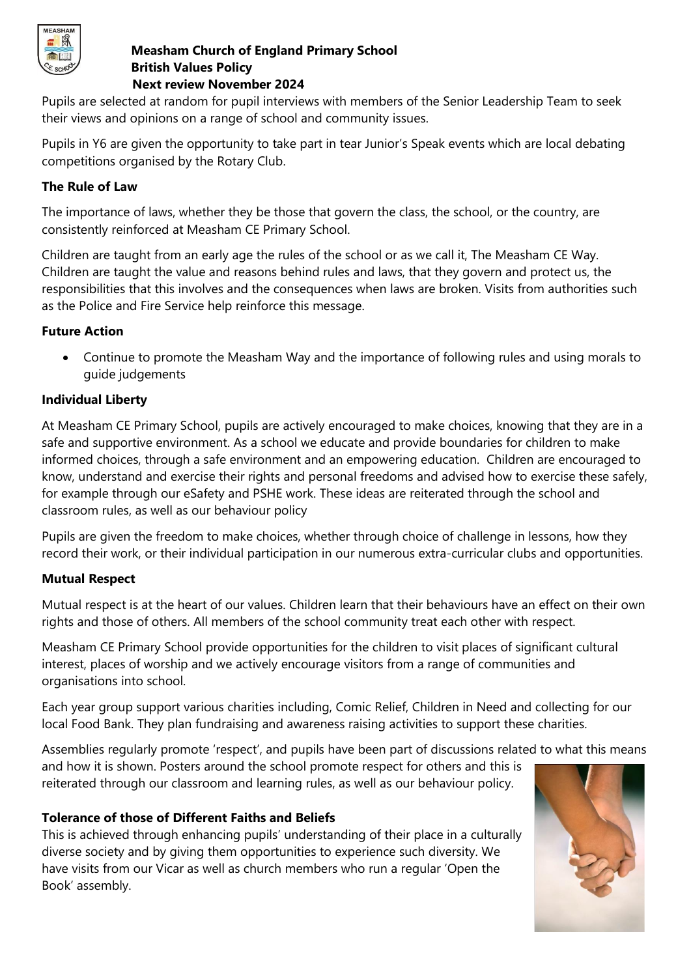

#### **Measham Church of England Primary School British Values Policy Next review November 2024**

Pupils are selected at random for pupil interviews with members of the Senior Leadership Team to seek their views and opinions on a range of school and community issues.

Pupils in Y6 are given the opportunity to take part in tear Junior's Speak events which are local debating competitions organised by the Rotary Club.

## **The Rule of Law**

The importance of laws, whether they be those that govern the class, the school, or the country, are consistently reinforced at Measham CE Primary School.

Children are taught from an early age the rules of the school or as we call it, The Measham CE Way. Children are taught the value and reasons behind rules and laws, that they govern and protect us, the responsibilities that this involves and the consequences when laws are broken. Visits from authorities such as the Police and Fire Service help reinforce this message.

### **Future Action**

• Continue to promote the Measham Way and the importance of following rules and using morals to guide judgements

## **Individual Liberty**

At Measham CE Primary School, pupils are actively encouraged to make choices, knowing that they are in a safe and supportive environment. As a school we educate and provide boundaries for children to make informed choices, through a safe environment and an empowering education. Children are encouraged to know, understand and exercise their rights and personal freedoms and advised how to exercise these safely, for example through our eSafety and PSHE work. These ideas are reiterated through the school and classroom rules, as well as our behaviour policy

Pupils are given the freedom to make choices, whether through choice of challenge in lessons, how they record their work, or their individual participation in our numerous extra-curricular clubs and opportunities.

### **Mutual Respect**

Mutual respect is at the heart of our values. Children learn that their behaviours have an effect on their own rights and those of others. All members of the school community treat each other with respect.

Measham CE Primary School provide opportunities for the children to visit places of significant cultural interest, places of worship and we actively encourage visitors from a range of communities and organisations into school.

Each year group support various charities including, Comic Relief, Children in Need and collecting for our local Food Bank. They plan fundraising and awareness raising activities to support these charities.

Assemblies regularly promote 'respect', and pupils have been part of discussions related to what this means

and how it is shown. Posters around the school promote respect for others and this is reiterated through our classroom and learning rules, as well as our behaviour policy.

### **Tolerance of those of Different Faiths and Beliefs**

This is achieved through enhancing pupils' understanding of their place in a culturally diverse society and by giving them opportunities to experience such diversity. We have visits from our Vicar as well as church members who run a regular 'Open the Book' assembly.